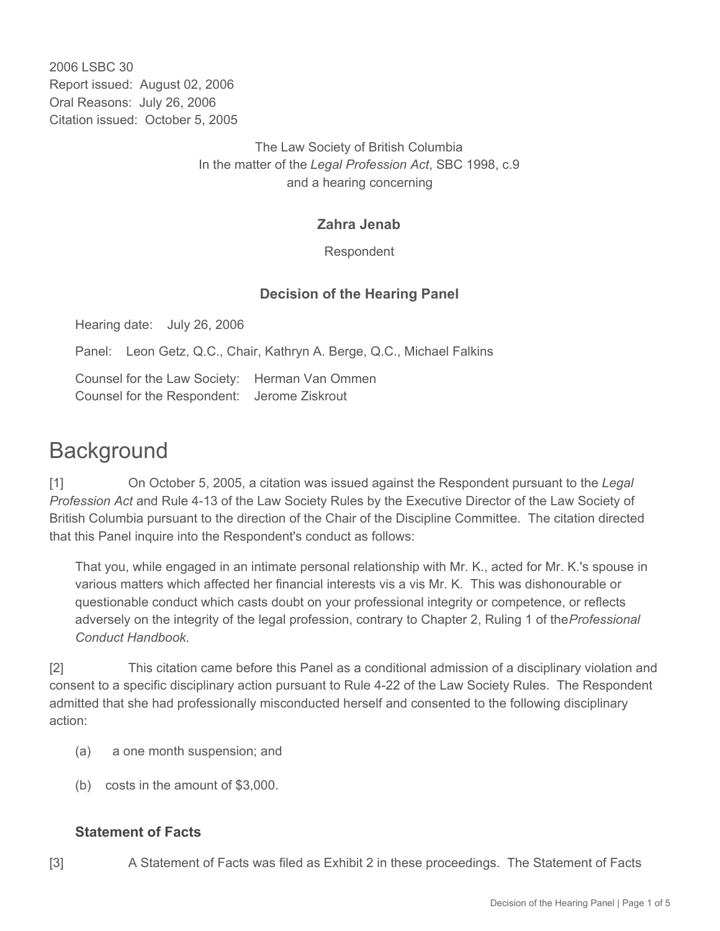2006 LSBC 30 Report issued: August 02, 2006 Oral Reasons: July 26, 2006 Citation issued: October 5, 2005

> The Law Society of British Columbia In the matter of the *Legal Profession Act*, SBC 1998, c.9 and a hearing concerning

## **Zahra Jenab**

Respondent

# **Decision of the Hearing Panel**

Hearing date: July 26, 2006

Panel: Leon Getz, Q.C., Chair, Kathryn A. Berge, Q.C., Michael Falkins

Counsel for the Law Society: Herman Van Ommen Counsel for the Respondent: Jerome Ziskrout

# **Background**

[1] On October 5, 2005, a citation was issued against the Respondent pursuant to the *Legal Profession Act* and Rule 4-13 of the Law Society Rules by the Executive Director of the Law Society of British Columbia pursuant to the direction of the Chair of the Discipline Committee. The citation directed that this Panel inquire into the Respondent's conduct as follows:

That you, while engaged in an intimate personal relationship with Mr. K., acted for Mr. K.'s spouse in various matters which affected her financial interests vis a vis Mr. K. This was dishonourable or questionable conduct which casts doubt on your professional integrity or competence, or reflects adversely on the integrity of the legal profession, contrary to Chapter 2, Ruling 1 of the *Professional Conduct Handbook*.

[2] This citation came before this Panel as a conditional admission of a disciplinary violation and consent to a specific disciplinary action pursuant to Rule 4-22 of the Law Society Rules. The Respondent admitted that she had professionally misconducted herself and consented to the following disciplinary action:

- (a) a one month suspension; and
- (b) costs in the amount of \$3,000.

#### **Statement of Facts**

[3] A Statement of Facts was filed as Exhibit 2 in these proceedings. The Statement of Facts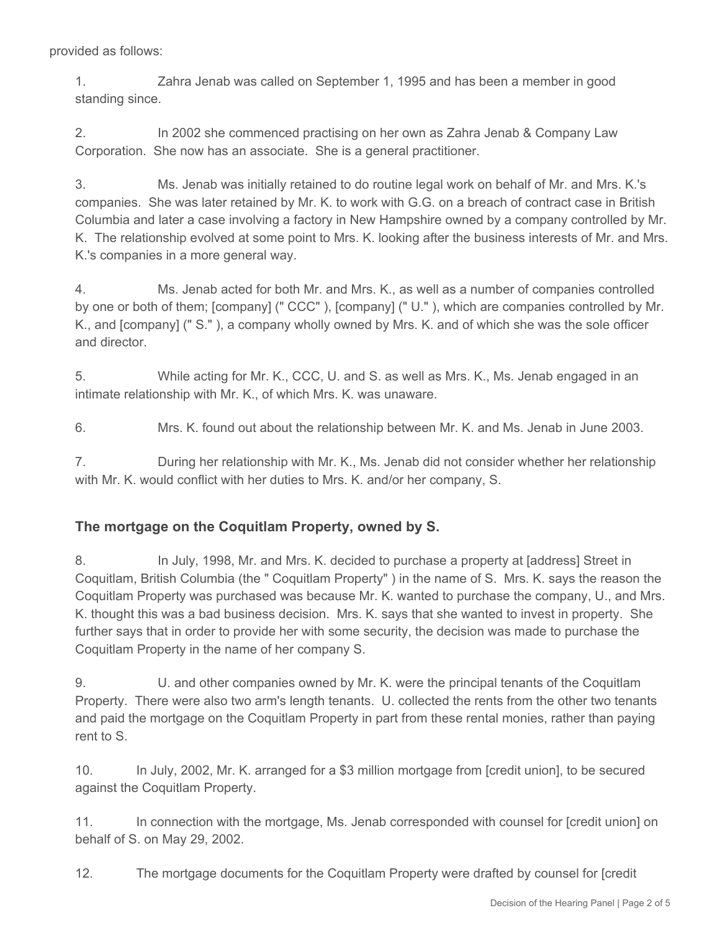provided as follows:

1. Zahra Jenab was called on September 1, 1995 and has been a member in good standing since.

2. In 2002 she commenced practising on her own as Zahra Jenab & Company Law Corporation. She now has an associate. She is a general practitioner.

3. Ms. Jenab was initially retained to do routine legal work on behalf of Mr. and Mrs. K.'s companies. She was later retained by Mr. K. to work with G.G. on a breach of contract case in British Columbia and later a case involving a factory in New Hampshire owned by a company controlled by Mr. K. The relationship evolved at some point to Mrs. K. looking after the business interests of Mr. and Mrs. K.'s companies in a more general way.

4. Ms. Jenab acted for both Mr. and Mrs. K., as well as a number of companies controlled by one or both of them; [company] (" CCC" ), [company] (" U." ), which are companies controlled by Mr. K., and [company] (" S." ), a company wholly owned by Mrs. K. and of which she was the sole officer and director.

5. While acting for Mr. K., CCC, U. and S. as well as Mrs. K., Ms. Jenab engaged in an intimate relationship with Mr. K., of which Mrs. K. was unaware.

6. Mrs. K. found out about the relationship between Mr. K. and Ms. Jenab in June 2003.

7. During her relationship with Mr. K., Ms. Jenab did not consider whether her relationship with Mr. K. would conflict with her duties to Mrs. K. and/or her company, S.

### **The mortgage on the Coquitlam Property, owned by S.**

8. In July, 1998, Mr. and Mrs. K. decided to purchase a property at [address] Street in Coquitlam, British Columbia (the " Coquitlam Property" ) in the name of S. Mrs. K. says the reason the Coquitlam Property was purchased was because Mr. K. wanted to purchase the company, U., and Mrs. K. thought this was a bad business decision. Mrs. K. says that she wanted to invest in property. She further says that in order to provide her with some security, the decision was made to purchase the Coquitlam Property in the name of her company S.

9. U. and other companies owned by Mr. K. were the principal tenants of the Coquitlam Property. There were also two arm's length tenants. U. collected the rents from the other two tenants and paid the mortgage on the Coquitlam Property in part from these rental monies, rather than paying rent to S.

10. In July, 2002, Mr. K. arranged for a \$3 million mortgage from [credit union], to be secured against the Coquitlam Property.

11. In connection with the mortgage, Ms. Jenab corresponded with counsel for [credit union] on behalf of S. on May 29, 2002.

12. The mortgage documents for the Coquitlam Property were drafted by counsel for [credit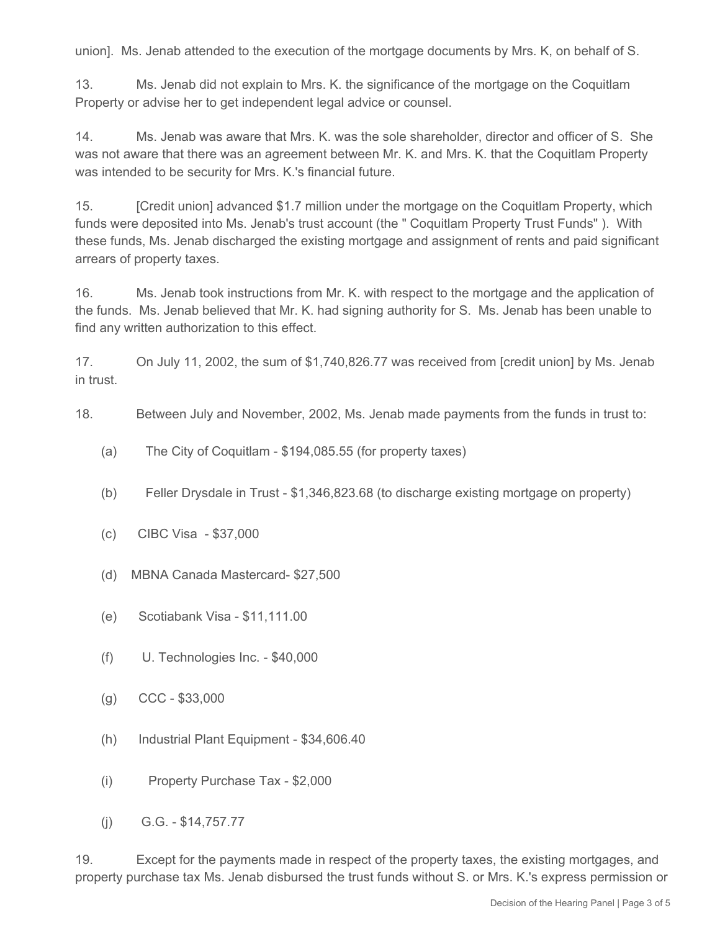union]. Ms. Jenab attended to the execution of the mortgage documents by Mrs. K, on behalf of S.

13. Ms. Jenab did not explain to Mrs. K. the significance of the mortgage on the Coquitlam Property or advise her to get independent legal advice or counsel.

14. Ms. Jenab was aware that Mrs. K. was the sole shareholder, director and officer of S. She was not aware that there was an agreement between Mr. K. and Mrs. K. that the Coquitlam Property was intended to be security for Mrs. K.'s financial future.

15. [Credit union] advanced \$1.7 million under the mortgage on the Coquitlam Property, which funds were deposited into Ms. Jenab's trust account (the " Coquitlam Property Trust Funds" ). With these funds, Ms. Jenab discharged the existing mortgage and assignment of rents and paid significant arrears of property taxes.

16. Ms. Jenab took instructions from Mr. K. with respect to the mortgage and the application of the funds. Ms. Jenab believed that Mr. K. had signing authority for S. Ms. Jenab has been unable to find any written authorization to this effect.

17. On July 11, 2002, the sum of \$1,740,826.77 was received from [credit union] by Ms. Jenab in trust.

18. Between July and November, 2002, Ms. Jenab made payments from the funds in trust to:

- (a) The City of Coquitlam \$194,085.55 (for property taxes)
- (b) Feller Drysdale in Trust \$1,346,823.68 (to discharge existing mortgage on property)
- (c) CIBC Visa \$37,000
- (d) MBNA Canada Mastercard- \$27,500
- (e) Scotiabank Visa \$11,111.00
- (f) U. Technologies Inc. \$40,000
- (g) CCC \$33,000
- (h) Industrial Plant Equipment \$34,606.40
- (i) Property Purchase Tax \$2,000
- (j) G.G. \$14,757.77

19. Except for the payments made in respect of the property taxes, the existing mortgages, and property purchase tax Ms. Jenab disbursed the trust funds without S. or Mrs. K.'s express permission or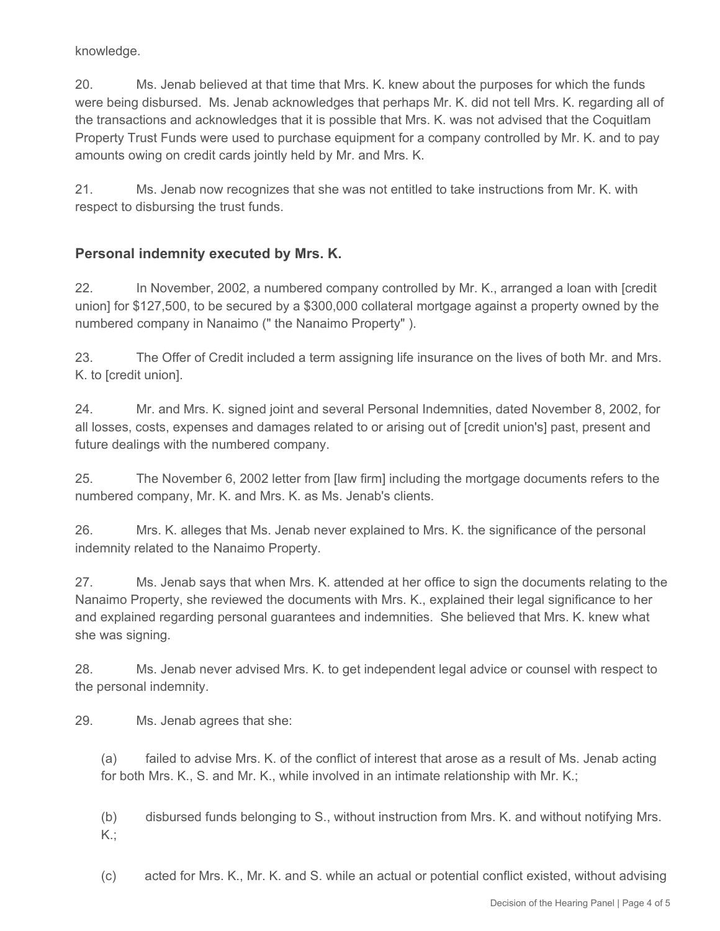knowledge.

20. Ms. Jenab believed at that time that Mrs. K. knew about the purposes for which the funds were being disbursed. Ms. Jenab acknowledges that perhaps Mr. K. did not tell Mrs. K. regarding all of the transactions and acknowledges that it is possible that Mrs. K. was not advised that the Coquitlam Property Trust Funds were used to purchase equipment for a company controlled by Mr. K. and to pay amounts owing on credit cards jointly held by Mr. and Mrs. K.

21. Ms. Jenab now recognizes that she was not entitled to take instructions from Mr. K. with respect to disbursing the trust funds.

# **Personal indemnity executed by Mrs. K.**

22. In November, 2002, a numbered company controlled by Mr. K., arranged a loan with [credit union] for \$127,500, to be secured by a \$300,000 collateral mortgage against a property owned by the numbered company in Nanaimo (" the Nanaimo Property" ).

23. The Offer of Credit included a term assigning life insurance on the lives of both Mr. and Mrs. K. to [credit union].

24. Mr. and Mrs. K. signed joint and several Personal Indemnities, dated November 8, 2002, for all losses, costs, expenses and damages related to or arising out of [credit union's] past, present and future dealings with the numbered company.

25. The November 6, 2002 letter from [law firm] including the mortgage documents refers to the numbered company, Mr. K. and Mrs. K. as Ms. Jenab's clients.

26. Mrs. K. alleges that Ms. Jenab never explained to Mrs. K. the significance of the personal indemnity related to the Nanaimo Property.

27. Ms. Jenab says that when Mrs. K. attended at her office to sign the documents relating to the Nanaimo Property, she reviewed the documents with Mrs. K., explained their legal significance to her and explained regarding personal guarantees and indemnities. She believed that Mrs. K. knew what she was signing.

28. Ms. Jenab never advised Mrs. K. to get independent legal advice or counsel with respect to the personal indemnity.

29. Ms. Jenab agrees that she:

(a) failed to advise Mrs. K. of the conflict of interest that arose as a result of Ms. Jenab acting for both Mrs. K., S. and Mr. K., while involved in an intimate relationship with Mr. K.;

(b) disbursed funds belonging to S., without instruction from Mrs. K. and without notifying Mrs. K.;

(c) acted for Mrs. K., Mr. K. and S. while an actual or potential conflict existed, without advising